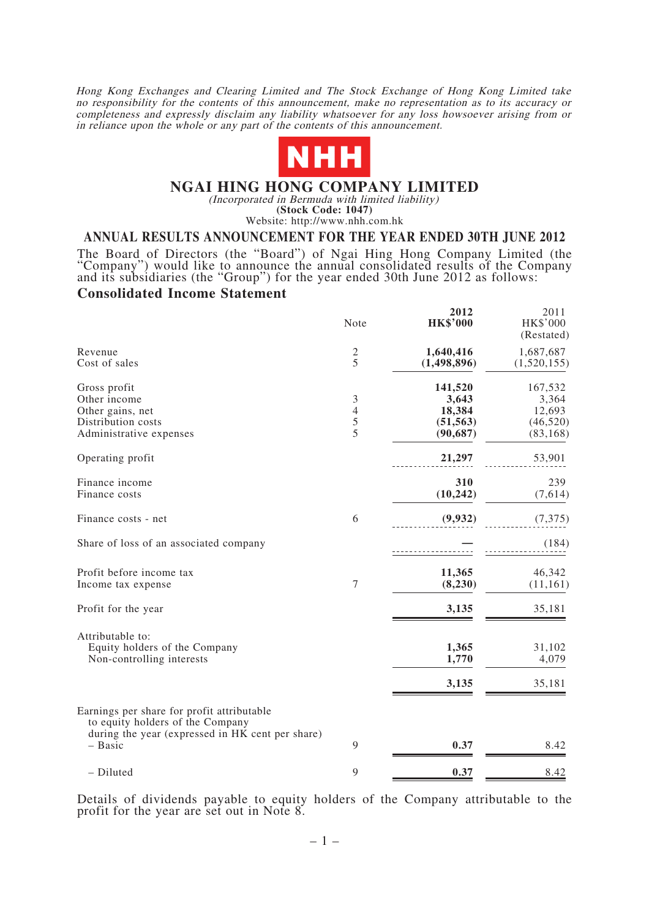Hong Kong Exchanges and Clearing Limited and The Stock Exchange of Hong Kong Limited take no responsibility for the contents of this announcement, make no representation as to its accuracy or completeness and expressly disclaim any liability whatsoever for any loss howsoever arising from or in reliance upon the whole or any part of the contents of this announcement.



### **NGAI HING HONG COMPANY LIMITED**

(Incorporated in Bermuda with limited liability)

**(Stock Code: 1047)** Website: http://www.nhh.com.hk

### **ANNUAL RESULTS ANNOUNCEMENT FOR THE YEAR ENDED 30TH JUNE 2012**

The Board of Directors (the "Board") of Ngai Hing Hong Company Limited (the "Company") would like to announce the annual consolidated results of the Company and its subsidiaries (the "Group") for the year ended 30th June 2

### **Consolidated Income Statement**

|                                                                                                   | Note                          | 2012<br><b>HK\$'000</b>                              | 2011<br><b>HK\$'000</b><br>(Restated)                |
|---------------------------------------------------------------------------------------------------|-------------------------------|------------------------------------------------------|------------------------------------------------------|
| Revenue<br>Cost of sales                                                                          | $rac{2}{5}$                   | 1,640,416<br>(1,498,896)                             | 1,687,687<br>(1,520,155)                             |
| Gross profit<br>Other income<br>Other gains, net<br>Distribution costs<br>Administrative expenses | 3<br>$\overline{4}$<br>5<br>5 | 141,520<br>3,643<br>18,384<br>(51, 563)<br>(90, 687) | 167,532<br>3,364<br>12,693<br>(46, 520)<br>(83, 168) |
| Operating profit                                                                                  |                               | 21,297                                               | 53,901                                               |
| Finance income<br>Finance costs                                                                   |                               | 310<br>(10, 242)                                     | 239<br>(7,614)                                       |
| Finance costs - net                                                                               | 6                             | (9,932)                                              | (7, 375)                                             |
| Share of loss of an associated company                                                            |                               |                                                      | (184)                                                |
| Profit before income tax<br>Income tax expense                                                    | $\boldsymbol{7}$              | 11,365<br>(8, 230)                                   | 46,342<br>(11, 161)                                  |
| Profit for the year                                                                               |                               | 3,135                                                | 35,181                                               |
| Attributable to:<br>Equity holders of the Company<br>Non-controlling interests                    |                               | 1,365<br>1,770<br>3,135                              | 31,102<br>4,079<br>35,181                            |
| Earnings per share for profit attributable<br>to equity holders of the Company                    |                               |                                                      |                                                      |
| during the year (expressed in HK cent per share)<br>$-$ Basic                                     | 9                             | 0.37                                                 | 8.42                                                 |
| - Diluted                                                                                         | 9                             | 0.37                                                 | 8.42                                                 |

Details of dividends payable to equity holders of the Company attributable to the profit for the year are set out in Note 8.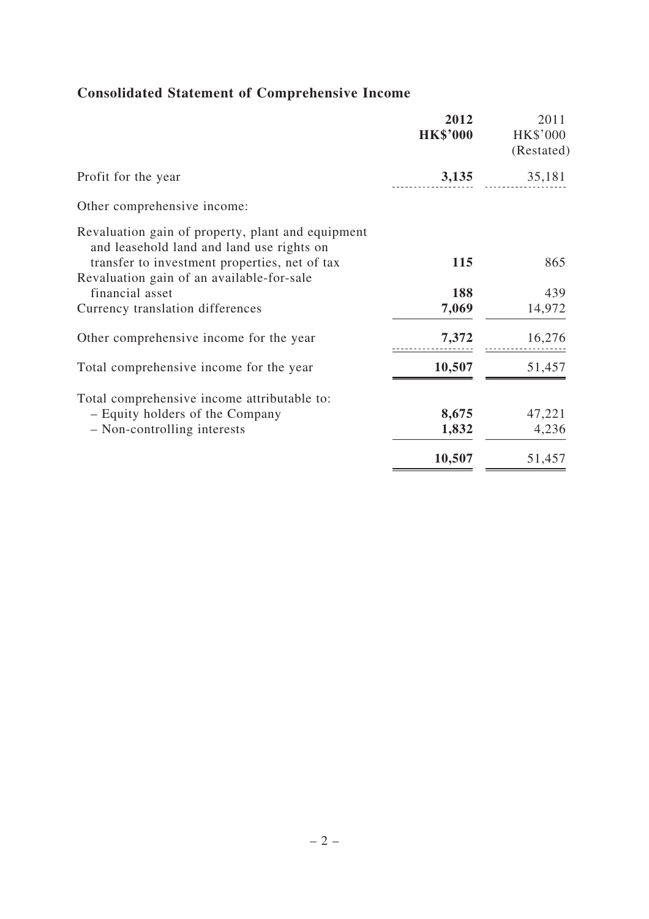|                                                                                                                                                 | 2012<br><b>HK\$'000</b> | 2011<br>HK\$'000<br>(Restated) |
|-------------------------------------------------------------------------------------------------------------------------------------------------|-------------------------|--------------------------------|
| Profit for the year                                                                                                                             | 3,135                   | 35,181                         |
| Other comprehensive income:                                                                                                                     |                         |                                |
| Revaluation gain of property, plant and equipment<br>and leasehold land and land use rights on<br>transfer to investment properties, net of tax | 115                     | 865                            |
| Revaluation gain of an available-for-sale<br>financial asset                                                                                    | 188                     | 439                            |
| Currency translation differences                                                                                                                | 7,069                   | 14,972                         |
| Other comprehensive income for the year                                                                                                         | 7,372                   | 16,276                         |
| Total comprehensive income for the year                                                                                                         | 10,507                  | 51,457                         |
| Total comprehensive income attributable to:                                                                                                     |                         |                                |
| - Equity holders of the Company                                                                                                                 | 8,675                   | 47,221                         |
| - Non-controlling interests                                                                                                                     | 1,832                   | 4,236                          |
|                                                                                                                                                 | 10,507                  | 51,457                         |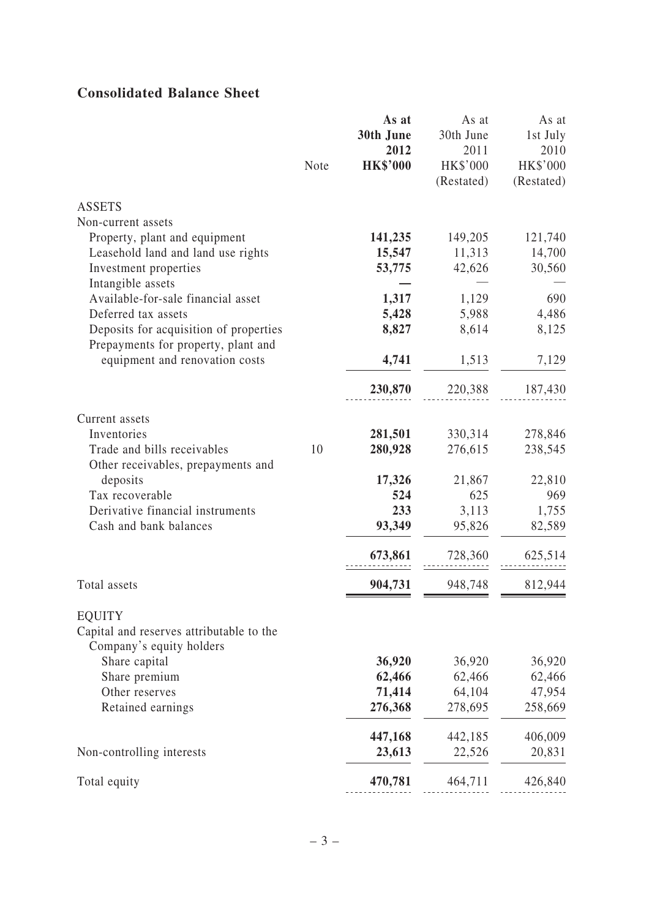# **Consolidated Balance Sheet**

|                                                                               |      | As at<br>30th June | As at<br>30th June | As at<br>1st July |
|-------------------------------------------------------------------------------|------|--------------------|--------------------|-------------------|
|                                                                               |      | 2012               | 2011               | 2010              |
|                                                                               | Note | <b>HK\$'000</b>    | HK\$'000           | HK\$'000          |
|                                                                               |      |                    | (Restated)         | (Restated)        |
| <b>ASSETS</b>                                                                 |      |                    |                    |                   |
| Non-current assets                                                            |      |                    |                    |                   |
| Property, plant and equipment                                                 |      | 141,235            | 149,205            | 121,740           |
| Leasehold land and land use rights                                            |      | 15,547             | 11,313             | 14,700            |
| Investment properties                                                         |      | 53,775             | 42,626             | 30,560            |
| Intangible assets                                                             |      |                    |                    |                   |
| Available-for-sale financial asset                                            |      | 1,317              | 1,129              | 690               |
| Deferred tax assets                                                           |      | 5,428              | 5,988              | 4,486             |
| Deposits for acquisition of properties<br>Prepayments for property, plant and |      | 8,827              | 8,614              | 8,125             |
| equipment and renovation costs                                                |      | 4,741              | 1,513              | 7,129             |
|                                                                               |      | 230,870            | 220,388            | 187,430           |
| Current assets                                                                |      |                    |                    |                   |
| Inventories                                                                   |      | 281,501            | 330,314            | 278,846           |
| Trade and bills receivables                                                   | 10   | 280,928            | 276,615            | 238,545           |
| Other receivables, prepayments and                                            |      |                    |                    |                   |
| deposits                                                                      |      | 17,326             | 21,867             | 22,810            |
| Tax recoverable                                                               |      | 524                | 625                | 969               |
| Derivative financial instruments                                              |      | 233                | 3,113              | 1,755             |
| Cash and bank balances                                                        |      | 93,349             | 95,826             | 82,589            |
|                                                                               |      | 673,861            | 728,360            | 625,514           |
| Total assets                                                                  |      | 904,731            | 948,748            | 812,944           |
| <b>EQUITY</b>                                                                 |      |                    |                    |                   |
| Capital and reserves attributable to the                                      |      |                    |                    |                   |
| Company's equity holders                                                      |      |                    |                    |                   |
| Share capital                                                                 |      | 36,920             | 36,920             | 36,920            |
| Share premium                                                                 |      | 62,466             | 62,466             | 62,466            |
| Other reserves                                                                |      | 71,414             | 64,104             | 47,954            |
| Retained earnings                                                             |      | 276,368            | 278,695            | 258,669           |
|                                                                               |      | 447,168            | 442,185            | 406,009           |
| Non-controlling interests                                                     |      | 23,613             | 22,526             | 20,831            |
| Total equity                                                                  |      | 470,781            | 464,711            | 426,840           |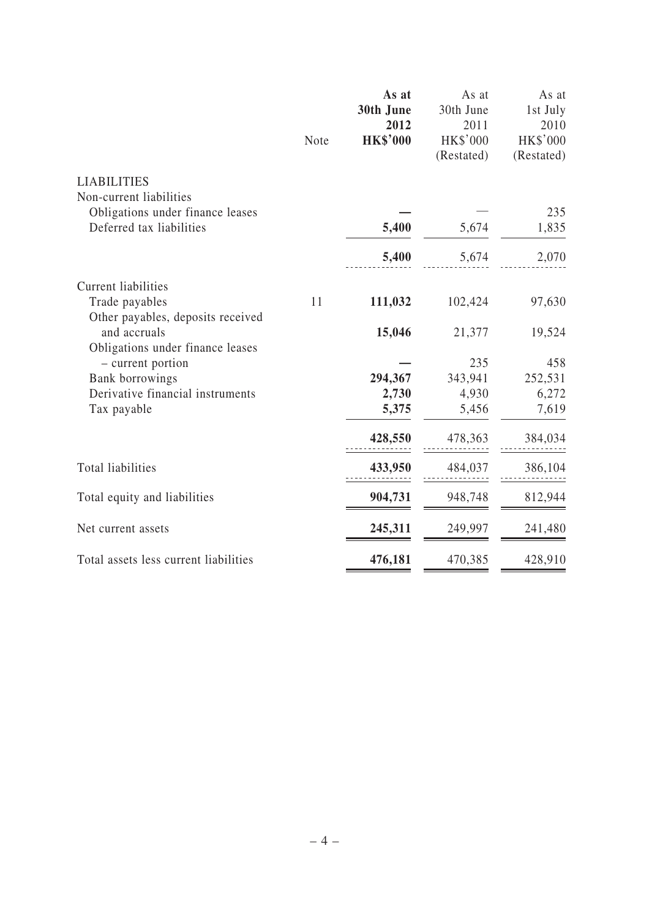|                                                                                       | Note | As at<br>30th June<br>2012<br><b>HK\$'000</b> | As at<br>30th June<br>2011<br>HK\$'000<br>(Restated) | As at<br>1st July<br>2010<br><b>HK\$'000</b><br>(Restated) |
|---------------------------------------------------------------------------------------|------|-----------------------------------------------|------------------------------------------------------|------------------------------------------------------------|
| <b>LIABILITIES</b>                                                                    |      |                                               |                                                      |                                                            |
| Non-current liabilities                                                               |      |                                               |                                                      |                                                            |
| Obligations under finance leases                                                      |      |                                               |                                                      | 235                                                        |
| Deferred tax liabilities                                                              |      | 5,400                                         | 5,674                                                | 1,835                                                      |
|                                                                                       |      | 5,400                                         | 5,674                                                | 2,070                                                      |
| <b>Current liabilities</b>                                                            |      |                                               |                                                      |                                                            |
| Trade payables                                                                        | 11   | 111,032                                       | 102,424                                              | 97,630                                                     |
| Other payables, deposits received<br>and accruals<br>Obligations under finance leases |      | 15,046                                        | 21,377                                               | 19,524                                                     |
| - current portion                                                                     |      |                                               | 235                                                  | 458                                                        |
| Bank borrowings                                                                       |      | 294,367                                       | 343,941                                              | 252,531                                                    |
| Derivative financial instruments                                                      |      | 2,730                                         | 4,930                                                | 6,272                                                      |
| Tax payable                                                                           |      | 5,375                                         | 5,456                                                | 7,619                                                      |
|                                                                                       |      | 428,550                                       | 478,363                                              | 384,034                                                    |
| <b>Total liabilities</b>                                                              |      | 433,950                                       | 484,037                                              | 386,104                                                    |
| Total equity and liabilities                                                          |      | 904,731                                       | 948,748                                              | 812,944                                                    |
| Net current assets                                                                    |      | 245,311                                       | 249,997                                              | 241,480                                                    |
|                                                                                       |      |                                               |                                                      |                                                            |
| Total assets less current liabilities                                                 |      | 476,181                                       | 470,385                                              | 428,910                                                    |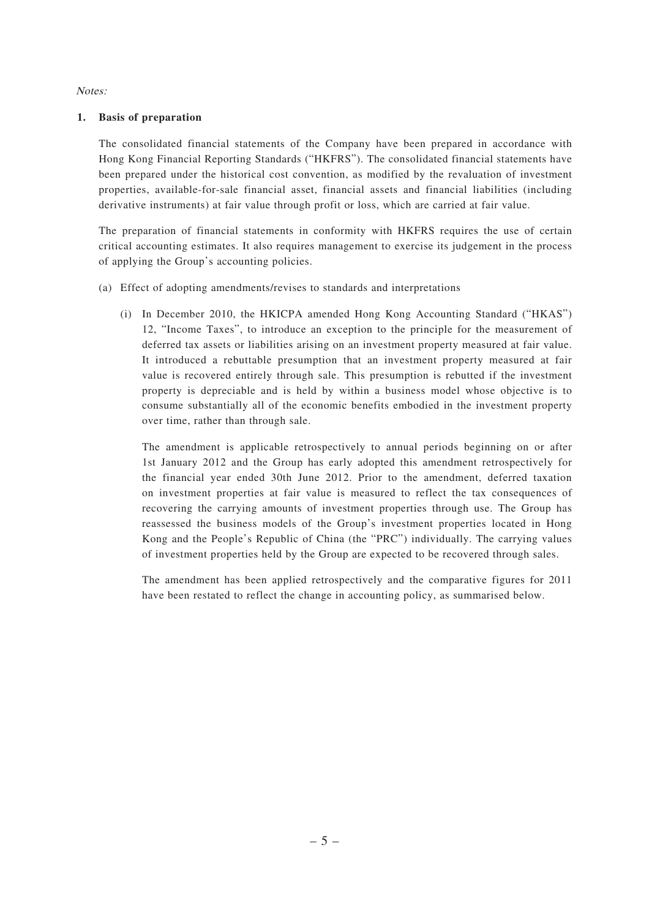Notes:

### **1. Basis of preparation**

 The consolidated financial statements of the Company have been prepared in accordance with Hong Kong Financial Reporting Standards ("HKFRS"). The consolidated financial statements have been prepared under the historical cost convention, as modified by the revaluation of investment properties, available-for-sale financial asset, financial assets and financial liabilities (including derivative instruments) at fair value through profit or loss, which are carried at fair value.

 The preparation of financial statements in conformity with HKFRS requires the use of certain critical accounting estimates. It also requires management to exercise its judgement in the process of applying the Group's accounting policies.

- (a) Effect of adopting amendments/revises to standards and interpretations
	- (i) In December 2010, the HKICPA amended Hong Kong Accounting Standard ("HKAS") 12, "Income Taxes", to introduce an exception to the principle for the measurement of deferred tax assets or liabilities arising on an investment property measured at fair value. It introduced a rebuttable presumption that an investment property measured at fair value is recovered entirely through sale. This presumption is rebutted if the investment property is depreciable and is held by within a business model whose objective is to consume substantially all of the economic benefits embodied in the investment property over time, rather than through sale.

 The amendment is applicable retrospectively to annual periods beginning on or after 1st January 2012 and the Group has early adopted this amendment retrospectively for the financial year ended 30th June 2012. Prior to the amendment, deferred taxation on investment properties at fair value is measured to reflect the tax consequences of recovering the carrying amounts of investment properties through use. The Group has reassessed the business models of the Group's investment properties located in Hong Kong and the People's Republic of China (the "PRC") individually. The carrying values of investment properties held by the Group are expected to be recovered through sales.

 The amendment has been applied retrospectively and the comparative figures for 2011 have been restated to reflect the change in accounting policy, as summarised below.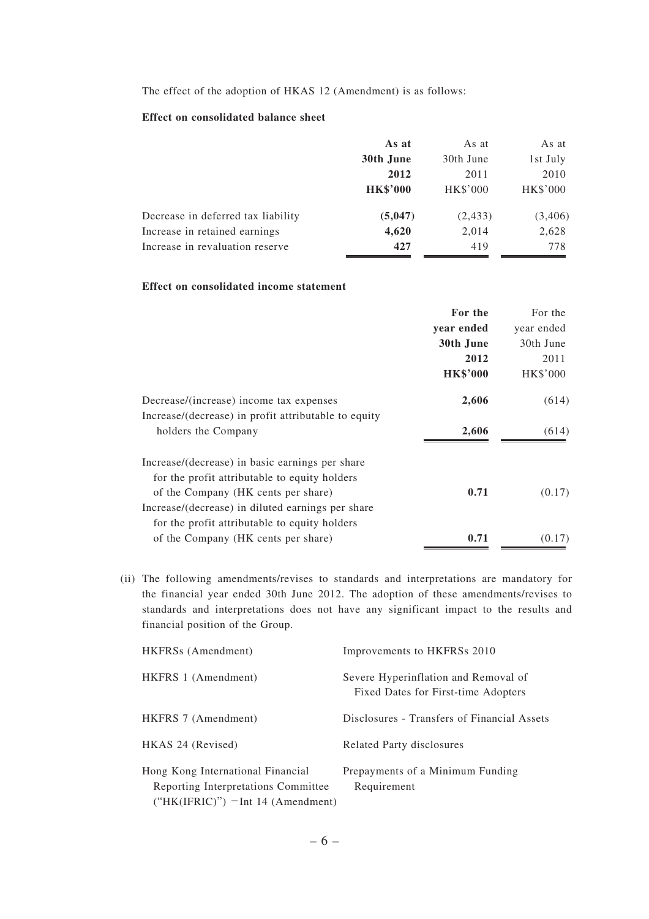The effect of the adoption of HKAS 12 (Amendment) is as follows:

### **Effect on consolidated balance sheet**

|                                    | As at           | As at           | As at    |
|------------------------------------|-----------------|-----------------|----------|
|                                    | 30th June       | 30th June       | 1st July |
|                                    | 2012            | 2011            | 2010     |
|                                    | <b>HK\$'000</b> | <b>HK\$'000</b> | HK\$'000 |
| Decrease in deferred tax liability | (5,047)         | (2, 433)        | (3,406)  |
| Increase in retained earnings      | 4,620           | 2,014           | 2,628    |
| Increase in revaluation reserve    | 427             | 419             | 778      |

### **Effect on consolidated income statement**

|                                                      | For the         | For the    |
|------------------------------------------------------|-----------------|------------|
|                                                      | year ended      | year ended |
|                                                      | 30th June       | 30th June  |
|                                                      | 2012            | 2011       |
|                                                      | <b>HK\$'000</b> | HK\$'000   |
| Decrease/(increase) income tax expenses              | 2,606           | (614)      |
| Increase/(decrease) in profit attributable to equity |                 |            |
| holders the Company                                  | 2,606           | (614)      |
| Increase/(decrease) in basic earnings per share      |                 |            |
| for the profit attributable to equity holders        |                 |            |
| of the Company (HK cents per share)                  | 0.71            | (0.17)     |
| Increase/(decrease) in diluted earnings per share    |                 |            |
| for the profit attributable to equity holders        |                 |            |
| of the Company (HK cents per share)                  | 0.71            | (0.17)     |
|                                                      |                 |            |

(ii) The following amendments/revises to standards and interpretations are mandatory for the financial year ended 30th June 2012. The adoption of these amendments/revises to standards and interpretations does not have any significant impact to the results and financial position of the Group.

| HKFRSs (Amendment)                                                                                                | Improvements to HKFRSs 2010                                                 |
|-------------------------------------------------------------------------------------------------------------------|-----------------------------------------------------------------------------|
| HKFRS 1 (Amendment)                                                                                               | Severe Hyperinflation and Removal of<br>Fixed Dates for First-time Adopters |
| HKFRS 7 (Amendment)                                                                                               | Disclosures - Transfers of Financial Assets                                 |
| HKAS 24 (Revised)                                                                                                 | Related Party disclosures                                                   |
| Hong Kong International Financial<br>Reporting Interpretations Committee<br>$("HK(IFRIC)" )$ – Int 14 (Amendment) | Prepayments of a Minimum Funding<br>Requirement                             |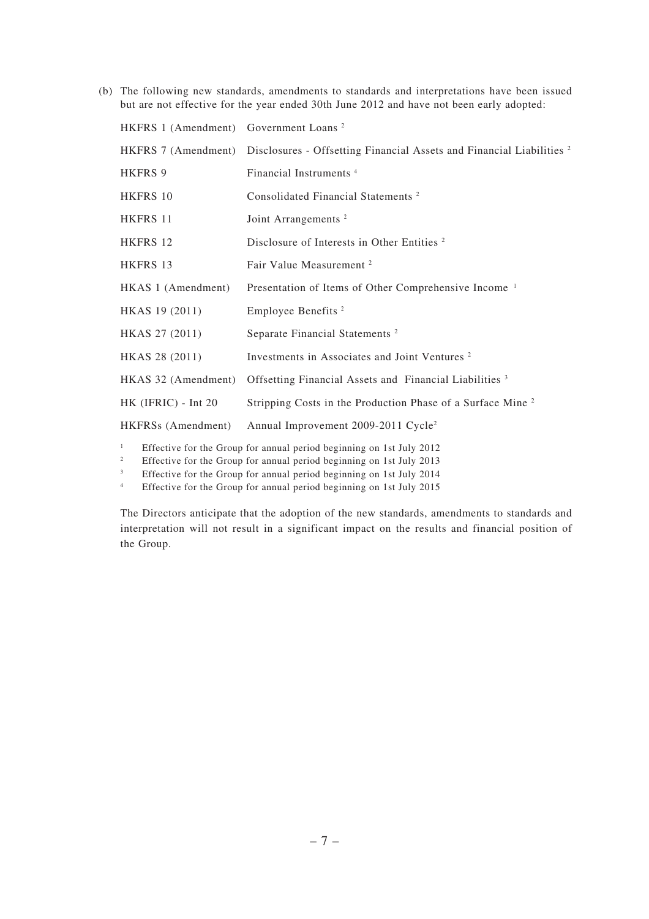(b) The following new standards, amendments to standards and interpretations have been issued but are not effective for the year ended 30th June 2012 and have not been early adopted:

| HKFRS 1 (Amendment) Government Loans <sup>2</sup> |                                                                                                                                              |
|---------------------------------------------------|----------------------------------------------------------------------------------------------------------------------------------------------|
|                                                   | HKFRS 7 (Amendment) Disclosures - Offsetting Financial Assets and Financial Liabilities <sup>2</sup>                                         |
| HKFRS 9                                           | Financial Instruments <sup>4</sup>                                                                                                           |
| <b>HKFRS 10</b>                                   | Consolidated Financial Statements <sup>2</sup>                                                                                               |
| HKFRS 11                                          | Joint Arrangements <sup>2</sup>                                                                                                              |
| HKFRS 12                                          | Disclosure of Interests in Other Entities <sup>2</sup>                                                                                       |
| HKFRS 13                                          | Fair Value Measurement <sup>2</sup>                                                                                                          |
| HKAS 1 (Amendment)                                | Presentation of Items of Other Comprehensive Income <sup>1</sup>                                                                             |
| HKAS 19 (2011)                                    | Employee Benefits <sup>2</sup>                                                                                                               |
| HKAS 27 (2011)                                    | Separate Financial Statements <sup>2</sup>                                                                                                   |
| HKAS 28 (2011)                                    | Investments in Associates and Joint Ventures <sup>2</sup>                                                                                    |
| HKAS 32 (Amendment)                               | Offsetting Financial Assets and Financial Liabilities <sup>3</sup>                                                                           |
| HK (IFRIC) - Int 20                               | Stripping Costs in the Production Phase of a Surface Mine <sup>2</sup>                                                                       |
| HKFRSs (Amendment)                                | Annual Improvement 2009-2011 Cycle <sup>2</sup>                                                                                              |
| $\mathbf{1}$<br>$\overline{c}$                    | Effective for the Group for annual period beginning on 1st July 2012<br>Effective for the Group for annual period beginning on 1st July 2013 |

3 Effective for the Group for annual period beginning on 1st July 2014

4

Effective for the Group for annual period beginning on 1st July 2015

 The Directors anticipate that the adoption of the new standards, amendments to standards and interpretation will not result in a significant impact on the results and financial position of the Group.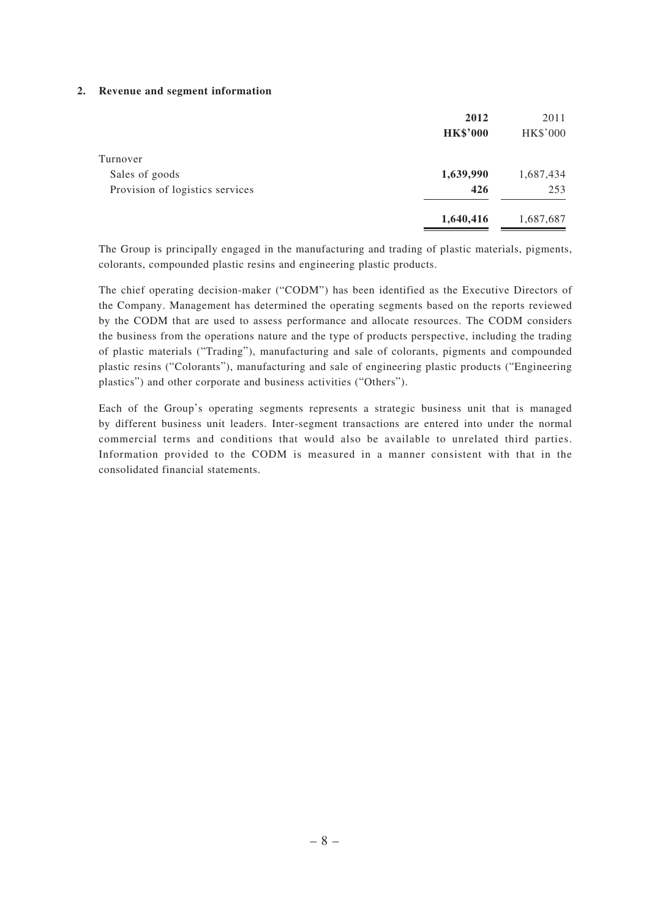#### **2. Revenue and segment information**

|                                 | 2012            | 2011      |
|---------------------------------|-----------------|-----------|
|                                 | <b>HK\$'000</b> | HK\$'000  |
| Turnover                        |                 |           |
| Sales of goods                  | 1,639,990       | 1,687,434 |
| Provision of logistics services | 426             | 253       |
|                                 | 1,640,416       | 1,687,687 |
|                                 |                 |           |

 The Group is principally engaged in the manufacturing and trading of plastic materials, pigments, colorants, compounded plastic resins and engineering plastic products.

 The chief operating decision-maker ("CODM") has been identified as the Executive Directors of the Company. Management has determined the operating segments based on the reports reviewed by the CODM that are used to assess performance and allocate resources. The CODM considers the business from the operations nature and the type of products perspective, including the trading of plastic materials ("Trading"), manufacturing and sale of colorants, pigments and compounded plastic resins ("Colorants"), manufacturing and sale of engineering plastic products ("Engineering plastics") and other corporate and business activities ("Others").

 Each of the Group's operating segments represents a strategic business unit that is managed by different business unit leaders. Inter-segment transactions are entered into under the normal commercial terms and conditions that would also be available to unrelated third parties. Information provided to the CODM is measured in a manner consistent with that in the consolidated financial statements.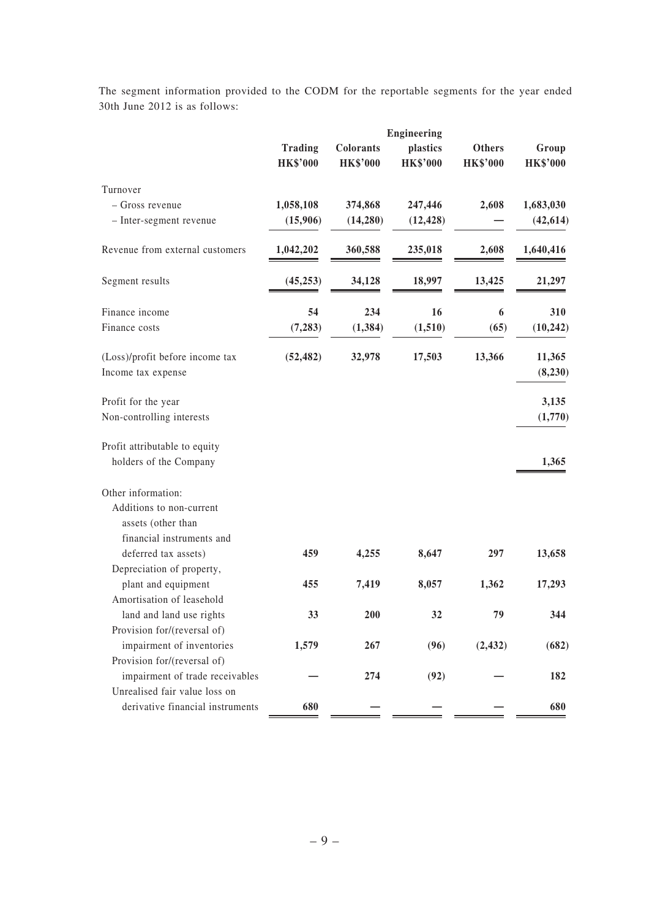The segment information provided to the CODM for the reportable segments for the year ended 30th June 2012 is as follows:

|                                                                             |                 |                 | Engineering     |                 |                   |  |  |
|-----------------------------------------------------------------------------|-----------------|-----------------|-----------------|-----------------|-------------------|--|--|
|                                                                             | <b>Trading</b>  | Colorants       | plastics        | <b>Others</b>   | Group             |  |  |
|                                                                             | <b>HK\$'000</b> | <b>HK\$'000</b> | <b>HK\$'000</b> | <b>HK\$'000</b> | <b>HK\$'000</b>   |  |  |
| Turnover                                                                    |                 |                 |                 |                 |                   |  |  |
| - Gross revenue                                                             | 1,058,108       | 374,868         | 247,446         | 2,608           | 1,683,030         |  |  |
| - Inter-segment revenue                                                     | (15,906)        | (14, 280)       | (12, 428)       |                 | (42, 614)         |  |  |
| Revenue from external customers                                             | 1,042,202       | 360,588         | 235,018         | 2,608           | 1,640,416         |  |  |
| Segment results                                                             | (45, 253)       | 34,128          | 18,997          | 13,425          | 21,297            |  |  |
| Finance income                                                              | 54              | 234             | 16              | 6               | 310               |  |  |
| Finance costs                                                               | (7, 283)        | (1, 384)        | (1, 510)        | (65)            | (10, 242)         |  |  |
| (Loss)/profit before income tax<br>Income tax expense                       | (52, 482)       | 32,978          | 17,503          | 13,366          | 11,365<br>(8,230) |  |  |
| Profit for the year                                                         |                 |                 |                 |                 | 3,135             |  |  |
| Non-controlling interests                                                   |                 |                 |                 |                 | (1,770)           |  |  |
| Profit attributable to equity                                               |                 |                 |                 |                 |                   |  |  |
| holders of the Company                                                      |                 |                 |                 |                 | 1,365             |  |  |
| Other information:                                                          |                 |                 |                 |                 |                   |  |  |
| Additions to non-current<br>assets (other than<br>financial instruments and |                 |                 |                 |                 |                   |  |  |
| deferred tax assets)                                                        | 459             | 4,255           | 8,647           | 297             | 13,658            |  |  |
| Depreciation of property,                                                   |                 |                 |                 |                 |                   |  |  |
| plant and equipment                                                         | 455             | 7,419           | 8,057           | 1,362           | 17,293            |  |  |
| Amortisation of leasehold                                                   |                 |                 |                 |                 |                   |  |  |
| land and land use rights                                                    | 33              | 200             | 32              | 79              | 344               |  |  |
| Provision for/(reversal of)                                                 |                 |                 |                 |                 |                   |  |  |
| impairment of inventories                                                   | 1,579           | 267             | (96)            | (2, 432)        | (682)             |  |  |
| Provision for/(reversal of)                                                 |                 |                 |                 |                 |                   |  |  |
| impairment of trade receivables                                             |                 | 274             | (92)            |                 | 182               |  |  |
| Unrealised fair value loss on                                               |                 |                 |                 |                 |                   |  |  |
| derivative financial instruments                                            | 680             |                 |                 |                 | 680               |  |  |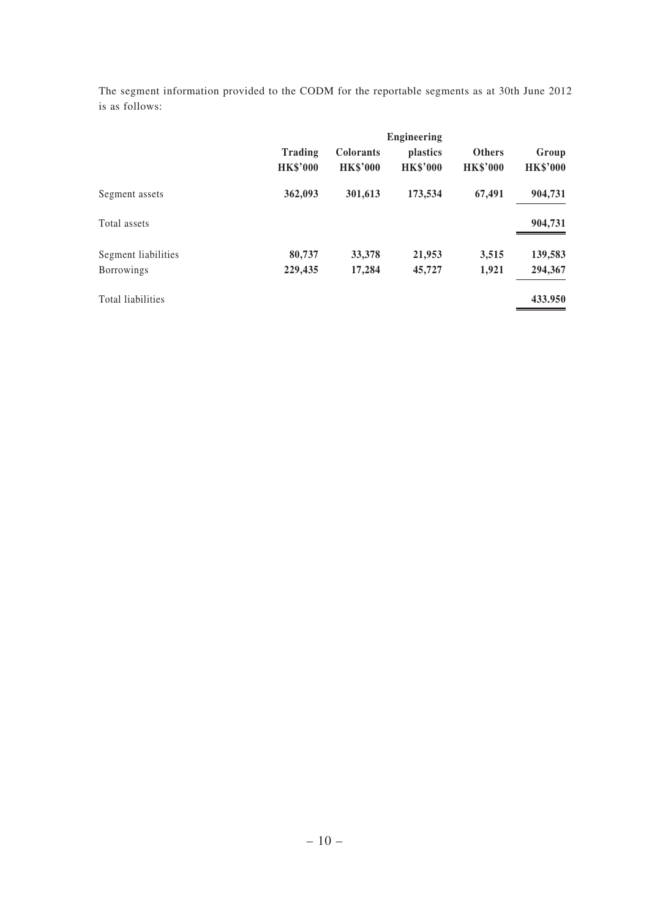The segment information provided to the CODM for the reportable segments as at 30th June 2012 is as follows:

|                     |                                   |                                     | <b>Engineering</b>          |                                  |                          |
|---------------------|-----------------------------------|-------------------------------------|-----------------------------|----------------------------------|--------------------------|
|                     | <b>Trading</b><br><b>HK\$'000</b> | <b>Colorants</b><br><b>HK\$'000</b> | plastics<br><b>HK\$'000</b> | <b>Others</b><br><b>HK\$'000</b> | Group<br><b>HK\$'000</b> |
| Segment assets      | 362,093                           | 301,613                             | 173,534                     | 67,491                           | 904,731                  |
| Total assets        |                                   |                                     |                             |                                  | 904,731                  |
| Segment liabilities | 80,737                            | 33,378                              | 21,953                      | 3,515                            | 139,583                  |
| <b>Borrowings</b>   | 229,435                           | 17,284                              | 45,727                      | 1,921                            | 294,367                  |
| Total liabilities   |                                   |                                     |                             |                                  | 433.950                  |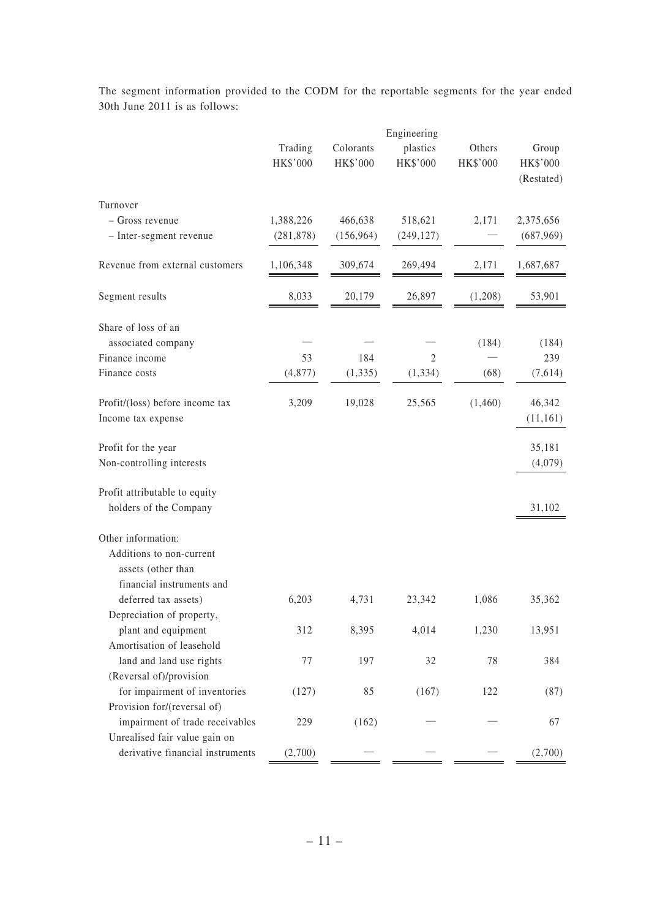|                                                                               | Trading<br>HK\$'000 | Colorants<br>HK\$'000 | Engineering<br>plastics<br>HK\$'000 | Others<br>HK\$'000 | Group<br>HK\$'000<br>(Restated) |
|-------------------------------------------------------------------------------|---------------------|-----------------------|-------------------------------------|--------------------|---------------------------------|
| Turnover                                                                      |                     |                       |                                     |                    |                                 |
| - Gross revenue                                                               | 1,388,226           | 466,638               | 518,621                             | 2,171              | 2,375,656                       |
| - Inter-segment revenue                                                       | (281, 878)          | (156, 964)            | (249, 127)                          |                    | (687,969)                       |
| Revenue from external customers                                               | 1,106,348           | 309,674               | 269,494                             | 2,171              | 1,687,687                       |
| Segment results                                                               | 8,033               | 20,179                | 26,897                              | (1,208)            | 53,901                          |
| Share of loss of an<br>associated company                                     |                     |                       |                                     | (184)              | (184)                           |
| Finance income                                                                | 53                  | 184                   | 2                                   |                    | 239                             |
| Finance costs                                                                 | (4, 877)            | (1, 335)              | (1, 334)                            | (68)               | (7,614)                         |
| Profit/(loss) before income tax<br>Income tax expense                         | 3,209               | 19,028                | 25,565                              | (1,460)            | 46,342<br>(11,161)              |
| Profit for the year                                                           |                     |                       |                                     |                    | 35,181                          |
| Non-controlling interests                                                     |                     |                       |                                     |                    | (4,079)                         |
| Profit attributable to equity                                                 |                     |                       |                                     |                    |                                 |
| holders of the Company                                                        |                     |                       |                                     |                    | 31,102                          |
| Other information:                                                            |                     |                       |                                     |                    |                                 |
| Additions to non-current<br>assets (other than<br>financial instruments and   |                     |                       |                                     |                    |                                 |
| deferred tax assets)                                                          | 6,203               | 4,731                 | 23,342                              | 1,086              | 35,362                          |
| Depreciation of property,<br>plant and equipment<br>Amortisation of leasehold | 312                 | 8,395                 | 4,014                               | 1,230              | 13,951                          |
| land and land use rights                                                      | 77                  | 197                   | 32                                  | 78                 | 384                             |
| (Reversal of)/provision                                                       |                     |                       |                                     |                    |                                 |
| for impairment of inventories                                                 | (127)               | 85                    | (167)                               | 122                | (87)                            |
| Provision for/(reversal of)                                                   |                     |                       |                                     |                    |                                 |
| impairment of trade receivables                                               | 229                 | (162)                 |                                     |                    | 67                              |
| Unrealised fair value gain on                                                 |                     |                       |                                     |                    |                                 |
| derivative financial instruments                                              | (2,700)             |                       |                                     |                    | (2,700)                         |

 The segment information provided to the CODM for the reportable segments for the year ended 30th June 2011 is as follows: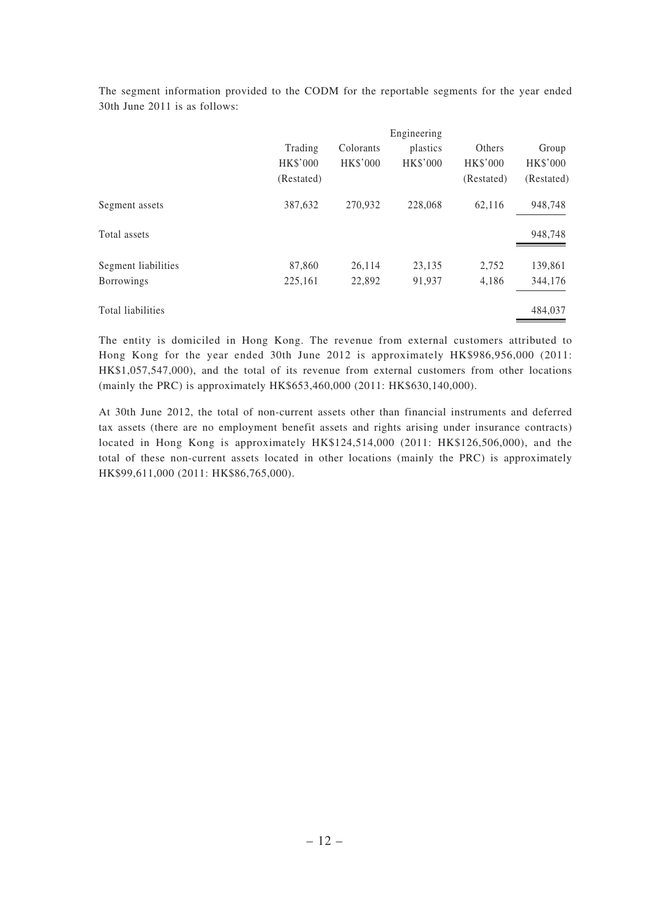|                     |                                          |                              | Engineering          |                                         |                                 |
|---------------------|------------------------------------------|------------------------------|----------------------|-----------------------------------------|---------------------------------|
|                     | Trading<br><b>HK\$'000</b><br>(Restated) | Colorants<br><b>HK\$'000</b> | plastics<br>HK\$'000 | Others<br><b>HK\$'000</b><br>(Restated) | Group<br>HK\$'000<br>(Restated) |
| Segment assets      | 387,632                                  | 270,932                      | 228,068              | 62.116                                  | 948,748                         |
| Total assets        |                                          |                              |                      |                                         | 948,748                         |
| Segment liabilities | 87,860                                   | 26,114                       | 23,135               | 2,752                                   | 139,861                         |
| <b>Borrowings</b>   | 225,161                                  | 22,892                       | 91,937               | 4,186                                   | 344,176                         |
| Total liabilities   |                                          |                              |                      |                                         | 484,037                         |

 The segment information provided to the CODM for the reportable segments for the year ended 30th June 2011 is as follows:

The entity is domiciled in Hong Kong. The revenue from external customers attributed to Hong Kong for the year ended 30th June 2012 is approximately HK\$986,956,000 (2011: HK\$1,057,547,000), and the total of its revenue from external customers from other locations (mainly the PRC) is approximately HK\$653,460,000 (2011: HK\$630,140,000).

At 30th June 2012, the total of non-current assets other than financial instruments and deferred tax assets (there are no employment benefit assets and rights arising under insurance contracts) located in Hong Kong is approximately HK\$124,514,000 (2011: HK\$126,506,000), and the total of these non-current assets located in other locations (mainly the PRC) is approximately HK\$99,611,000 (2011: HK\$86,765,000).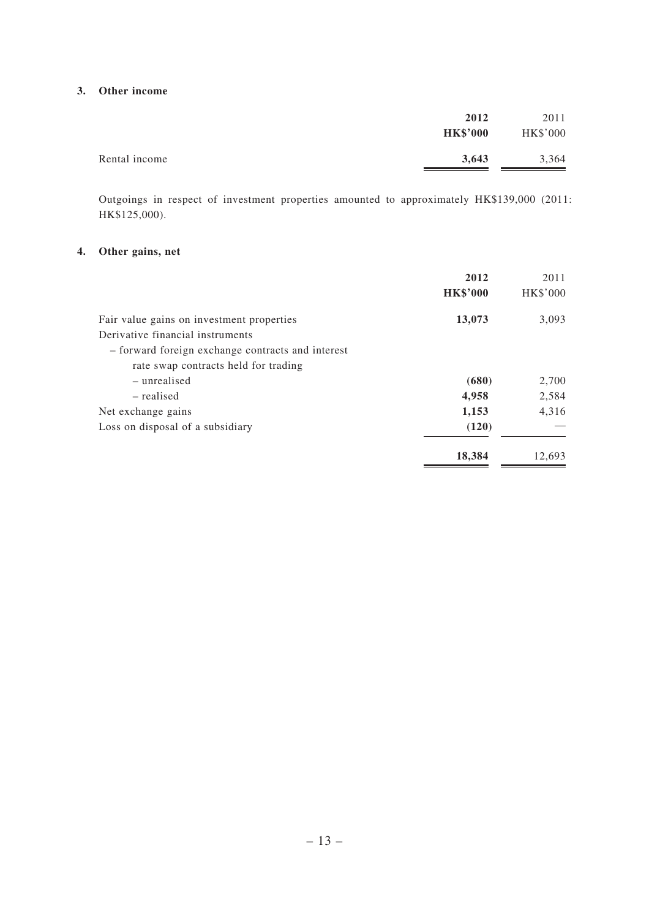### **3. Other income**

|               | 2012            | 2011            |
|---------------|-----------------|-----------------|
|               | <b>HK\$'000</b> | <b>HK\$'000</b> |
| Rental income | 3,643           | 3,364           |

Outgoings in respect of investment properties amounted to approximately HK\$139,000 (2011: HK\$125,000).

## **4. Other gains, net**

|                                                                               | 2012<br><b>HK\$'000</b> | 2011<br><b>HK\$'000</b> |
|-------------------------------------------------------------------------------|-------------------------|-------------------------|
| Fair value gains on investment properties<br>Derivative financial instruments | 13,073                  | 3,093                   |
| - forward foreign exchange contracts and interest                             |                         |                         |
| rate swap contracts held for trading                                          |                         |                         |
| – unrealised                                                                  | (680)                   | 2,700                   |
| – realised                                                                    | 4,958                   | 2,584                   |
| Net exchange gains                                                            | 1,153                   | 4,316                   |
| Loss on disposal of a subsidiary                                              | (120)                   |                         |
|                                                                               | 18,384                  | 12,693                  |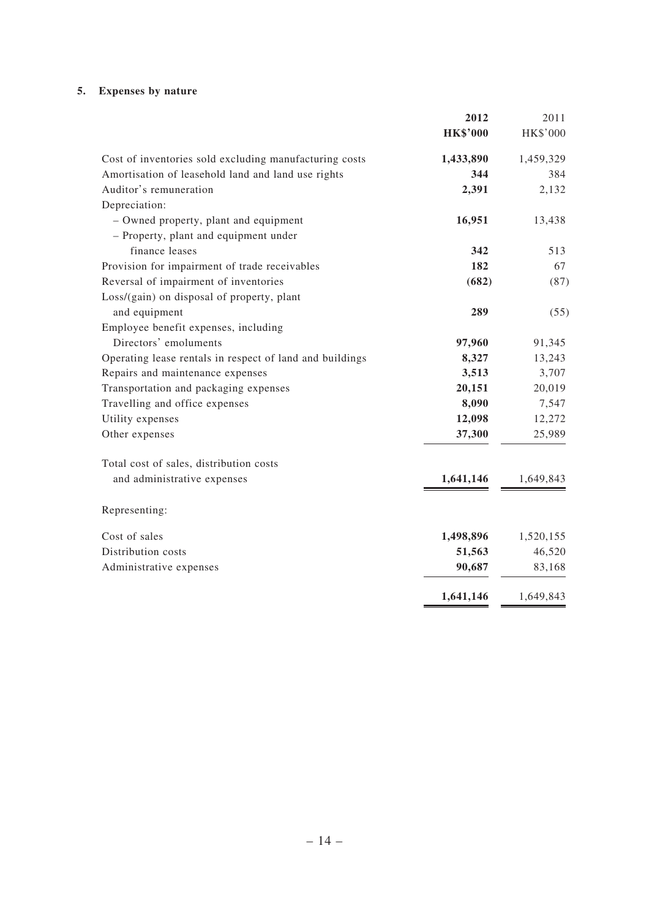# **5. Expenses by nature**

|                                                          | 2012            | 2011      |
|----------------------------------------------------------|-----------------|-----------|
|                                                          | <b>HK\$'000</b> | HK\$'000  |
| Cost of inventories sold excluding manufacturing costs   | 1,433,890       | 1,459,329 |
| Amortisation of leasehold land and land use rights       | 344             | 384       |
| Auditor's remuneration                                   | 2,391           | 2,132     |
| Depreciation:                                            |                 |           |
| - Owned property, plant and equipment                    | 16,951          | 13,438    |
| - Property, plant and equipment under                    |                 |           |
| finance leases                                           | 342             | 513       |
| Provision for impairment of trade receivables            | 182             | 67        |
| Reversal of impairment of inventories                    | (682)           | (87)      |
| Loss/(gain) on disposal of property, plant               |                 |           |
| and equipment                                            | 289             | (55)      |
| Employee benefit expenses, including                     |                 |           |
| Directors' emoluments                                    | 97,960          | 91,345    |
| Operating lease rentals in respect of land and buildings | 8,327           | 13,243    |
| Repairs and maintenance expenses                         | 3,513           | 3,707     |
| Transportation and packaging expenses                    | 20,151          | 20,019    |
| Travelling and office expenses                           | 8,090           | 7,547     |
| Utility expenses                                         | 12,098          | 12,272    |
| Other expenses                                           | 37,300          | 25,989    |
| Total cost of sales, distribution costs                  |                 |           |
| and administrative expenses                              | 1,641,146       | 1,649,843 |
| Representing:                                            |                 |           |
| Cost of sales                                            | 1,498,896       | 1,520,155 |
| Distribution costs                                       | 51,563          | 46,520    |
| Administrative expenses                                  | 90,687          | 83,168    |
|                                                          | 1,641,146       | 1,649,843 |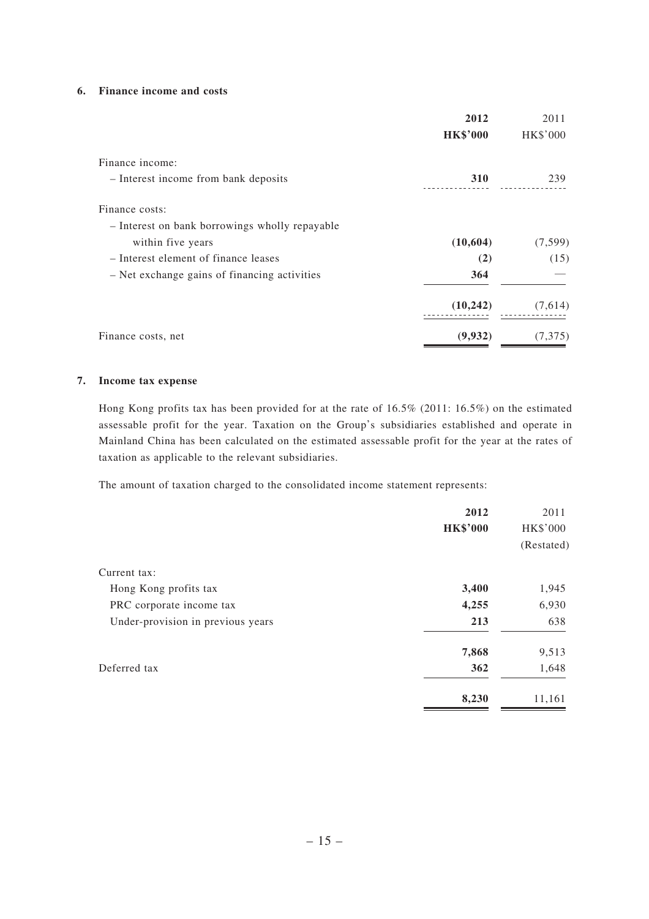#### **6. Finance income and costs**

|                                                | 2012            | 2011     |
|------------------------------------------------|-----------------|----------|
|                                                | <b>HK\$'000</b> | HK\$'000 |
| Finance income:                                |                 |          |
| - Interest income from bank deposits           | 310             | 239      |
| Finance costs:                                 |                 |          |
| - Interest on bank borrowings wholly repayable |                 |          |
| within five years                              | (10,604)        | (7,599)  |
| - Interest element of finance leases           | (2)             | (15)     |
| - Net exchange gains of financing activities   | 364             |          |
|                                                | (10, 242)       | (7,614)  |
| Finance costs, net                             | (9,932)         | (7,375)  |

### **7. Income tax expense**

Hong Kong profits tax has been provided for at the rate of 16.5% (2011: 16.5%) on the estimated assessable profit for the year. Taxation on the Group's subsidiaries established and operate in Mainland China has been calculated on the estimated assessable profit for the year at the rates of taxation as applicable to the relevant subsidiaries.

The amount of taxation charged to the consolidated income statement represents:

|                                   | 2012<br><b>HK\$'000</b> | 2011<br><b>HK\$'000</b><br>(Restated) |
|-----------------------------------|-------------------------|---------------------------------------|
| Current tax:                      |                         |                                       |
| Hong Kong profits tax             | 3,400                   | 1,945                                 |
| PRC corporate income tax          | 4,255                   | 6,930                                 |
| Under-provision in previous years | 213                     | 638                                   |
|                                   | 7,868                   | 9,513                                 |
| Deferred tax                      | 362                     | 1,648                                 |
|                                   | 8,230                   | 11,161                                |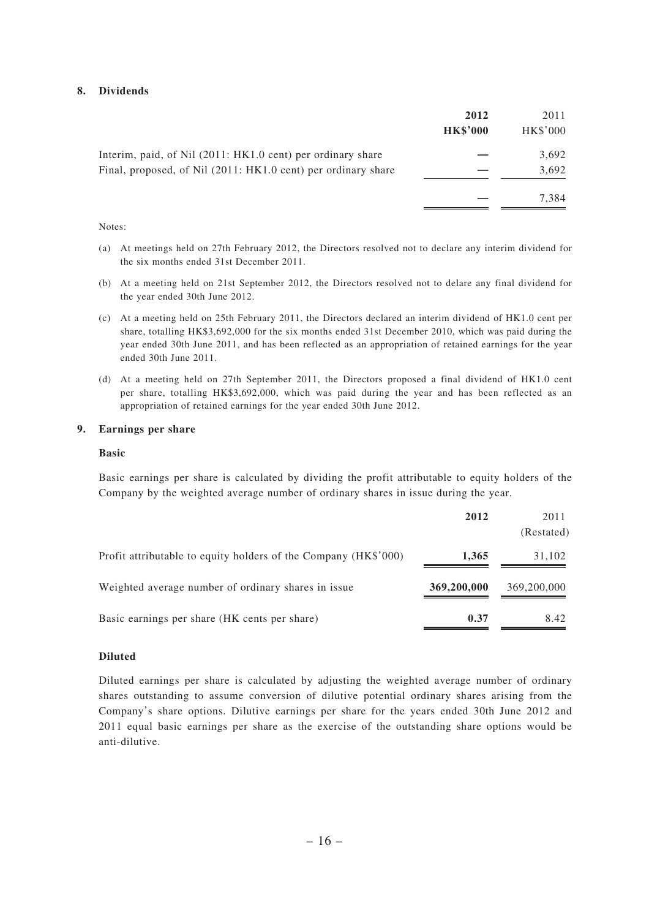#### **8. Dividends**

|                                                                                                                              | 2012<br><b>HK\$'000</b> | 2011<br>HK\$'000 |
|------------------------------------------------------------------------------------------------------------------------------|-------------------------|------------------|
| Interim, paid, of Nil (2011: HK1.0 cent) per ordinary share<br>Final, proposed, of Nil (2011: HK1.0 cent) per ordinary share |                         | 3,692<br>3,692   |
|                                                                                                                              |                         | 7.384            |

Notes:

- (a) At meetings held on 27th February 2012, the Directors resolved not to declare any interim dividend for the six months ended 31st December 2011.
- (b) At a meeting held on 21st September 2012, the Directors resolved not to delare any final dividend for the year ended 30th June 2012.
- (c) At a meeting held on 25th February 2011, the Directors declared an interim dividend of HK1.0 cent per share, totalling HK\$3,692,000 for the six months ended 31st December 2010, which was paid during the year ended 30th June 2011, and has been reflected as an appropriation of retained earnings for the year ended 30th June 2011.
- (d) At a meeting held on 27th September 2011, the Directors proposed a final dividend of HK1.0 cent per share, totalling HK\$3,692,000, which was paid during the year and has been reflected as an appropriation of retained earnings for the year ended 30th June 2012.

### **9. Earnings per share**

#### **Basic**

 Basic earnings per share is calculated by dividing the profit attributable to equity holders of the Company by the weighted average number of ordinary shares in issue during the year.

|                                                                 | 2012        | 2011<br>(Restated) |
|-----------------------------------------------------------------|-------------|--------------------|
| Profit attributable to equity holders of the Company (HK\$'000) | 1,365       | 31,102             |
| Weighted average number of ordinary shares in issue.            | 369,200,000 | 369,200,000        |
| Basic earnings per share (HK cents per share)                   | 0.37        | 8.42               |

#### **Diluted**

 Diluted earnings per share is calculated by adjusting the weighted average number of ordinary shares outstanding to assume conversion of dilutive potential ordinary shares arising from the Company's share options. Dilutive earnings per share for the years ended 30th June 2012 and 2011 equal basic earnings per share as the exercise of the outstanding share options would be anti-dilutive.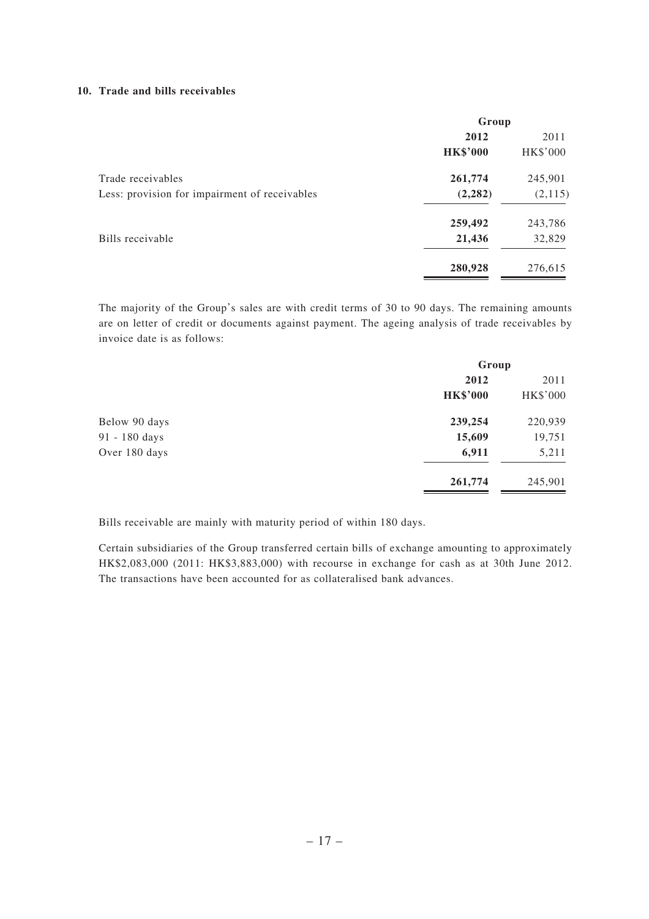#### **10. Trade and bills receivables**

|                                               | Group           |                 |  |
|-----------------------------------------------|-----------------|-----------------|--|
|                                               | 2012            | 2011            |  |
|                                               | <b>HK\$'000</b> | <b>HK\$'000</b> |  |
| Trade receivables                             | 261,774         | 245,901         |  |
| Less: provision for impairment of receivables | (2, 282)        | (2, 115)        |  |
|                                               | 259,492         | 243,786         |  |
| Bills receivable                              | 21,436          | 32,829          |  |
|                                               | 280,928         | 276,615         |  |

 The majority of the Group's sales are with credit terms of 30 to 90 days. The remaining amounts are on letter of credit or documents against payment. The ageing analysis of trade receivables by invoice date is as follows:

| Group           |          |
|-----------------|----------|
| 2012            | 2011     |
| <b>HK\$'000</b> | HK\$'000 |
| 239,254         | 220,939  |
| 15,609          | 19,751   |
| 6,911           | 5,211    |
| 261,774         | 245,901  |
|                 |          |

Bills receivable are mainly with maturity period of within 180 days.

 Certain subsidiaries of the Group transferred certain bills of exchange amounting to approximately HK\$2,083,000 (2011: HK\$3,883,000) with recourse in exchange for cash as at 30th June 2012. The transactions have been accounted for as collateralised bank advances.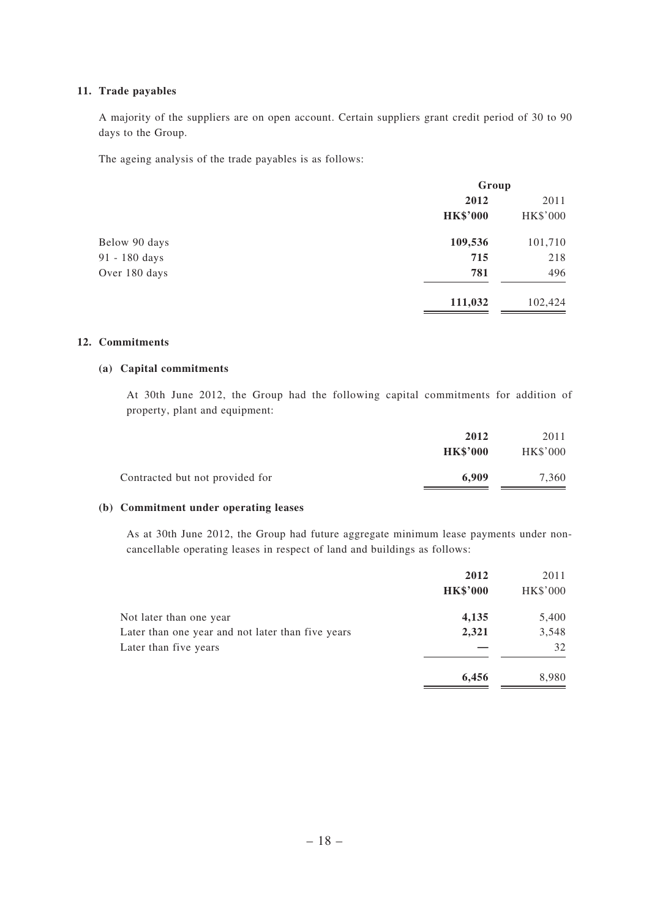### **11. Trade payables**

A majority of the suppliers are on open account. Certain suppliers grant credit period of 30 to 90 days to the Group.

The ageing analysis of the trade payables is as follows:

|               |                 | Group           |  |
|---------------|-----------------|-----------------|--|
|               | 2012            | 2011            |  |
|               | <b>HK\$'000</b> | <b>HK\$'000</b> |  |
| Below 90 days | 109,536         | 101,710         |  |
| 91 - 180 days | 715             | 218             |  |
| Over 180 days | 781             | 496             |  |
|               | 111,032         | 102,424         |  |

### **12. Commitments**

### **(a) Capital commitments**

 At 30th June 2012, the Group had the following capital commitments for addition of property, plant and equipment:

|                                 | 2012            | 2011            |
|---------------------------------|-----------------|-----------------|
|                                 | <b>HK\$'000</b> | <b>HK\$'000</b> |
| Contracted but not provided for | 6.909           | 7,360           |

### **(b) Commitment under operating leases**

 As at 30th June 2012, the Group had future aggregate minimum lease payments under noncancellable operating leases in respect of land and buildings as follows:

|                                                   | 2012<br><b>HK\$'000</b> | 2011<br>HK\$'000 |
|---------------------------------------------------|-------------------------|------------------|
| Not later than one year                           | 4,135                   | 5,400            |
| Later than one year and not later than five years | 2,321                   | 3,548            |
| Later than five years                             |                         | 32               |
|                                                   | 6,456                   | 8,980            |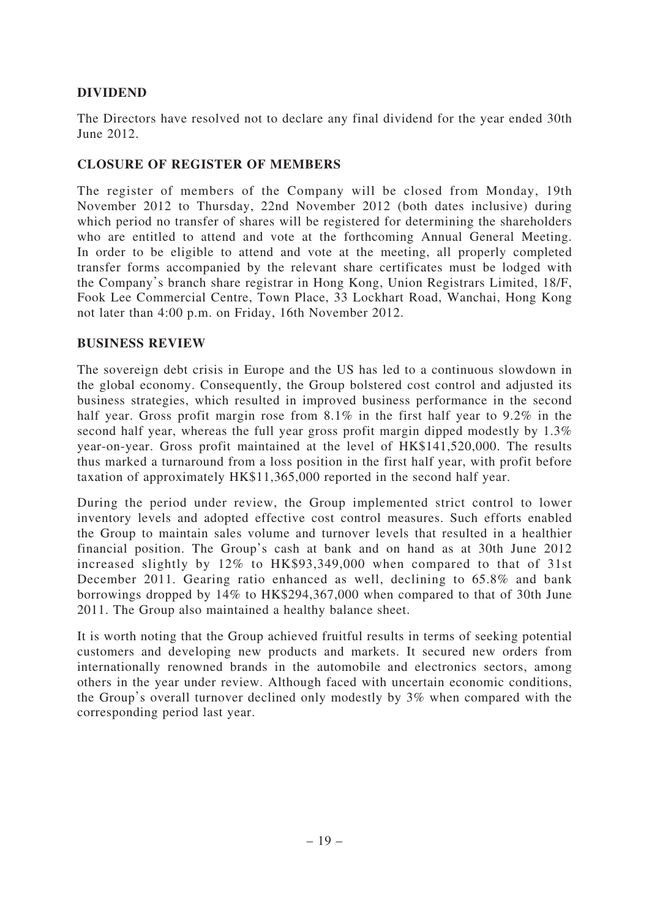## **DIVIDEND**

The Directors have resolved not to declare any final dividend for the year ended 30th June 2012.

## **CLOSURE OF REGISTER OF MEMBERS**

The register of members of the Company will be closed from Monday, 19th November 2012 to Thursday, 22nd November 2012 (both dates inclusive) during which period no transfer of shares will be registered for determining the shareholders who are entitled to attend and vote at the forthcoming Annual General Meeting. In order to be eligible to attend and vote at the meeting, all properly completed transfer forms accompanied by the relevant share certificates must be lodged with the Company's branch share registrar in Hong Kong, Union Registrars Limited, 18/F, Fook Lee Commercial Centre, Town Place, 33 Lockhart Road, Wanchai, Hong Kong not later than 4:00 p.m. on Friday, 16th November 2012.

### **BUSINESS REVIEW**

The sovereign debt crisis in Europe and the US has led to a continuous slowdown in the global economy. Consequently, the Group bolstered cost control and adjusted its business strategies, which resulted in improved business performance in the second half year. Gross profit margin rose from 8.1% in the first half year to 9.2% in the second half year, whereas the full year gross profit margin dipped modestly by 1.3% year-on-year. Gross profit maintained at the level of HK\$141,520,000. The results thus marked a turnaround from a loss position in the first half year, with profit before taxation of approximately HK\$11,365,000 reported in the second half year.

During the period under review, the Group implemented strict control to lower inventory levels and adopted effective cost control measures. Such efforts enabled the Group to maintain sales volume and turnover levels that resulted in a healthier financial position. The Group's cash at bank and on hand as at 30th June 2012 increased slightly by 12% to HK\$93,349,000 when compared to that of 31st December 2011. Gearing ratio enhanced as well, declining to 65.8% and bank borrowings dropped by 14% to HK\$294,367,000 when compared to that of 30th June 2011. The Group also maintained a healthy balance sheet.

It is worth noting that the Group achieved fruitful results in terms of seeking potential customers and developing new products and markets. It secured new orders from internationally renowned brands in the automobile and electronics sectors, among others in the year under review. Although faced with uncertain economic conditions, the Group's overall turnover declined only modestly by 3% when compared with the corresponding period last year.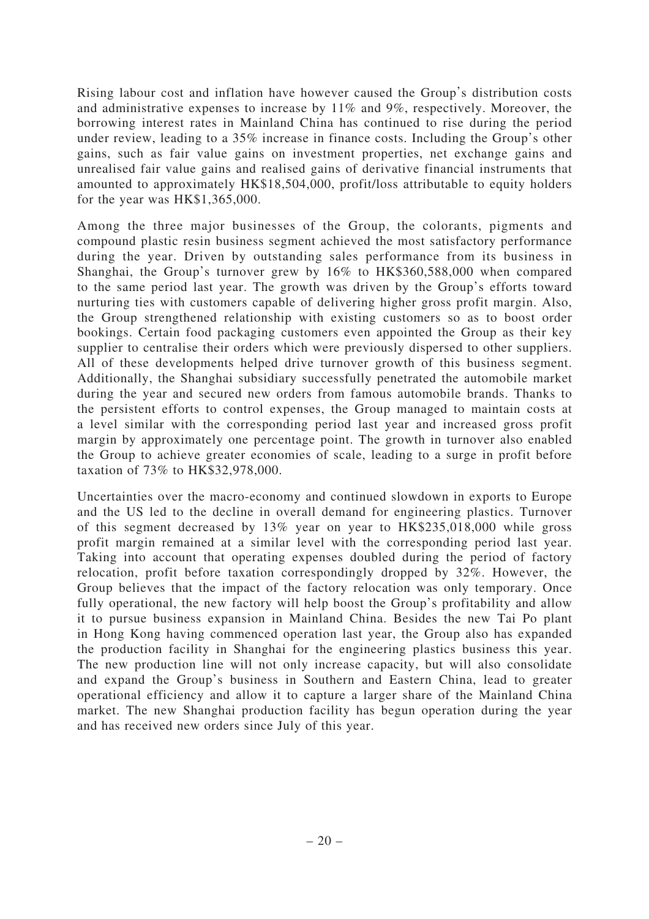Rising labour cost and inflation have however caused the Group's distribution costs and administrative expenses to increase by 11% and 9%, respectively. Moreover, the borrowing interest rates in Mainland China has continued to rise during the period under review, leading to a 35% increase in finance costs. Including the Group's other gains, such as fair value gains on investment properties, net exchange gains and unrealised fair value gains and realised gains of derivative financial instruments that amounted to approximately HK\$18,504,000, profit/loss attributable to equity holders for the year was HK\$1,365,000.

Among the three major businesses of the Group, the colorants, pigments and compound plastic resin business segment achieved the most satisfactory performance during the year. Driven by outstanding sales performance from its business in Shanghai, the Group's turnover grew by 16% to HK\$360,588,000 when compared to the same period last year. The growth was driven by the Group's efforts toward nurturing ties with customers capable of delivering higher gross profit margin. Also, the Group strengthened relationship with existing customers so as to boost order bookings. Certain food packaging customers even appointed the Group as their key supplier to centralise their orders which were previously dispersed to other suppliers. All of these developments helped drive turnover growth of this business segment. Additionally, the Shanghai subsidiary successfully penetrated the automobile market during the year and secured new orders from famous automobile brands. Thanks to the persistent efforts to control expenses, the Group managed to maintain costs at a level similar with the corresponding period last year and increased gross profit margin by approximately one percentage point. The growth in turnover also enabled the Group to achieve greater economies of scale, leading to a surge in profit before taxation of 73% to HK\$32,978,000.

Uncertainties over the macro-economy and continued slowdown in exports to Europe and the US led to the decline in overall demand for engineering plastics. Turnover of this segment decreased by 13% year on year to HK\$235,018,000 while gross profit margin remained at a similar level with the corresponding period last year. Taking into account that operating expenses doubled during the period of factory relocation, profit before taxation correspondingly dropped by 32%. However, the Group believes that the impact of the factory relocation was only temporary. Once fully operational, the new factory will help boost the Group's profitability and allow it to pursue business expansion in Mainland China. Besides the new Tai Po plant in Hong Kong having commenced operation last year, the Group also has expanded the production facility in Shanghai for the engineering plastics business this year. The new production line will not only increase capacity, but will also consolidate and expand the Group's business in Southern and Eastern China, lead to greater operational efficiency and allow it to capture a larger share of the Mainland China market. The new Shanghai production facility has begun operation during the year and has received new orders since July of this year.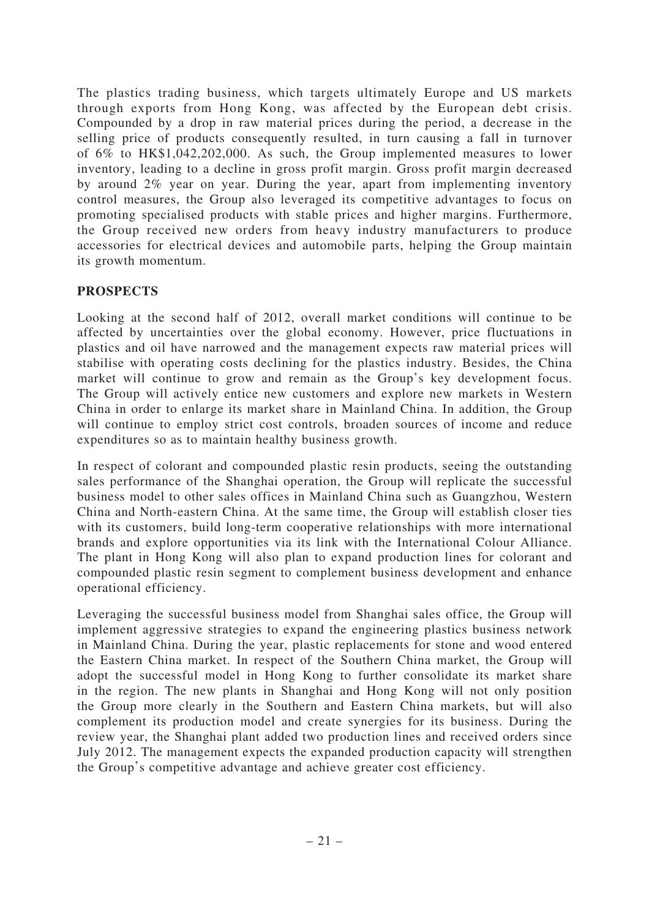The plastics trading business, which targets ultimately Europe and US markets through exports from Hong Kong, was affected by the European debt crisis. Compounded by a drop in raw material prices during the period, a decrease in the selling price of products consequently resulted, in turn causing a fall in turnover of 6% to HK\$1,042,202,000. As such, the Group implemented measures to lower inventory, leading to a decline in gross profit margin. Gross profit margin decreased by around 2% year on year. During the year, apart from implementing inventory control measures, the Group also leveraged its competitive advantages to focus on promoting specialised products with stable prices and higher margins. Furthermore, the Group received new orders from heavy industry manufacturers to produce accessories for electrical devices and automobile parts, helping the Group maintain its growth momentum.

## **PROSPECTS**

Looking at the second half of 2012, overall market conditions will continue to be affected by uncertainties over the global economy. However, price fluctuations in plastics and oil have narrowed and the management expects raw material prices will stabilise with operating costs declining for the plastics industry. Besides, the China market will continue to grow and remain as the Group's key development focus. The Group will actively entice new customers and explore new markets in Western China in order to enlarge its market share in Mainland China. In addition, the Group will continue to employ strict cost controls, broaden sources of income and reduce expenditures so as to maintain healthy business growth.

In respect of colorant and compounded plastic resin products, seeing the outstanding sales performance of the Shanghai operation, the Group will replicate the successful business model to other sales offices in Mainland China such as Guangzhou, Western China and North-eastern China. At the same time, the Group will establish closer ties with its customers, build long-term cooperative relationships with more international brands and explore opportunities via its link with the International Colour Alliance. The plant in Hong Kong will also plan to expand production lines for colorant and compounded plastic resin segment to complement business development and enhance operational efficiency.

Leveraging the successful business model from Shanghai sales office, the Group will implement aggressive strategies to expand the engineering plastics business network in Mainland China. During the year, plastic replacements for stone and wood entered the Eastern China market. In respect of the Southern China market, the Group will adopt the successful model in Hong Kong to further consolidate its market share in the region. The new plants in Shanghai and Hong Kong will not only position the Group more clearly in the Southern and Eastern China markets, but will also complement its production model and create synergies for its business. During the review year, the Shanghai plant added two production lines and received orders since July 2012. The management expects the expanded production capacity will strengthen the Group's competitive advantage and achieve greater cost efficiency.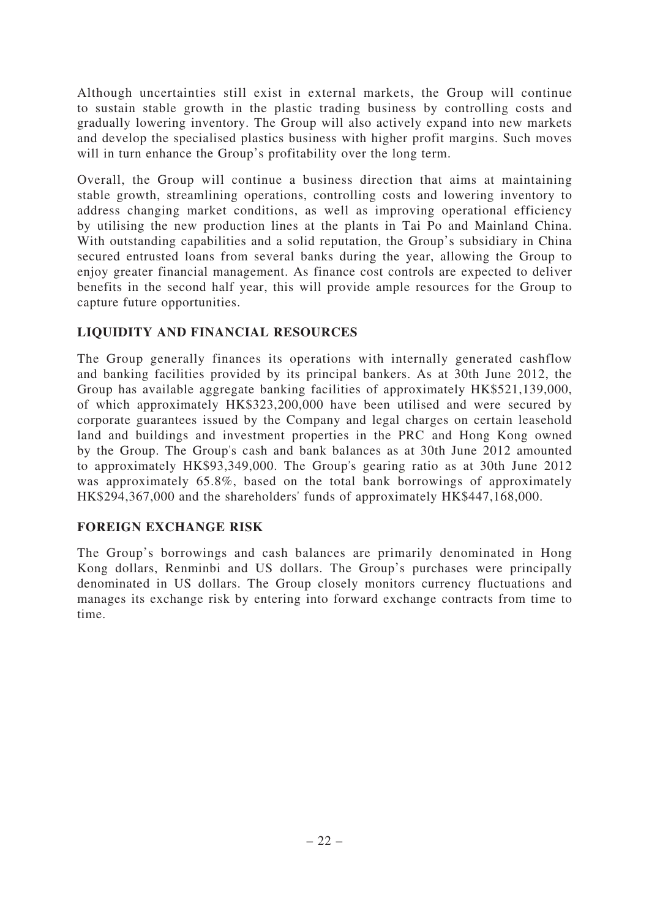Although uncertainties still exist in external markets, the Group will continue to sustain stable growth in the plastic trading business by controlling costs and gradually lowering inventory. The Group will also actively expand into new markets and develop the specialised plastics business with higher profit margins. Such moves will in turn enhance the Group's profitability over the long term.

Overall, the Group will continue a business direction that aims at maintaining stable growth, streamlining operations, controlling costs and lowering inventory to address changing market conditions, as well as improving operational efficiency by utilising the new production lines at the plants in Tai Po and Mainland China. With outstanding capabilities and a solid reputation, the Group's subsidiary in China secured entrusted loans from several banks during the year, allowing the Group to enjoy greater financial management. As finance cost controls are expected to deliver benefits in the second half year, this will provide ample resources for the Group to capture future opportunities.

## **LIQUIDITY AND FINANCIAL RESOURCES**

The Group generally finances its operations with internally generated cashflow and banking facilities provided by its principal bankers. As at 30th June 2012, the Group has available aggregate banking facilities of approximately HK\$521,139,000, of which approximately HK\$323,200,000 have been utilised and were secured by corporate guarantees issued by the Company and legal charges on certain leasehold land and buildings and investment properties in the PRC and Hong Kong owned by the Group. The Group's cash and bank balances as at 30th June 2012 amounted to approximately HK\$93,349,000. The Group's gearing ratio as at 30th June 2012 was approximately 65.8%, based on the total bank borrowings of approximately HK\$294,367,000 and the shareholders' funds of approximately HK\$447,168,000.

## **FOREIGN EXCHANGE RISK**

The Group's borrowings and cash balances are primarily denominated in Hong Kong dollars, Renminbi and US dollars. The Group's purchases were principally denominated in US dollars. The Group closely monitors currency fluctuations and manages its exchange risk by entering into forward exchange contracts from time to time.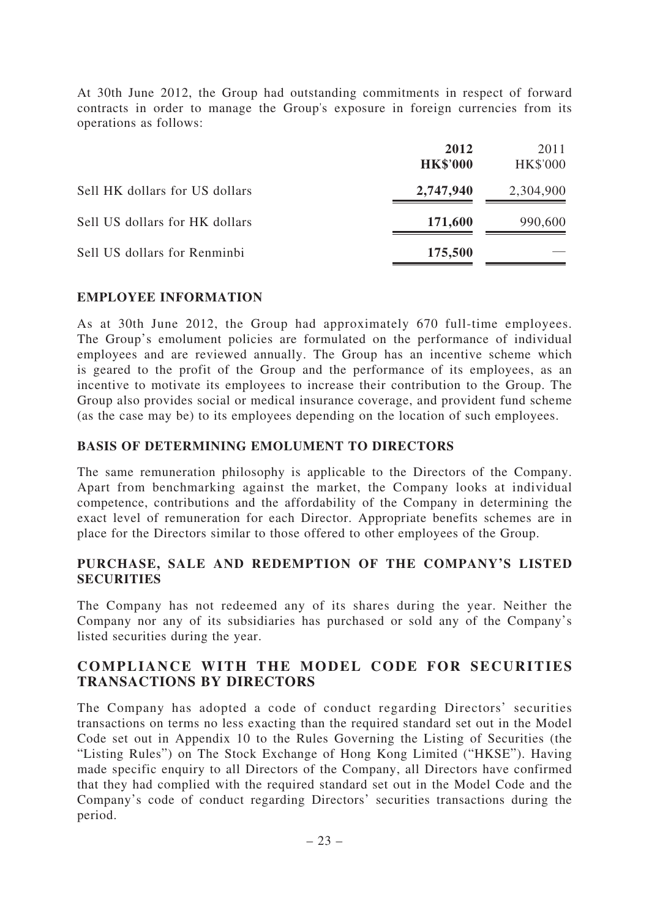At 30th June 2012, the Group had outstanding commitments in respect of forward contracts in order to manage the Group's exposure in foreign currencies from its operations as follows:

|                                | 2012<br><b>HK\$'000</b> | 2011<br><b>HK\$'000</b> |
|--------------------------------|-------------------------|-------------------------|
| Sell HK dollars for US dollars | 2,747,940               | 2,304,900               |
| Sell US dollars for HK dollars | 171,600                 | 990,600                 |
| Sell US dollars for Renminbi   | 175,500                 |                         |

### **EMPLOYEE INFORMATION**

As at 30th June 2012, the Group had approximately 670 full-time employees. The Group's emolument policies are formulated on the performance of individual employees and are reviewed annually. The Group has an incentive scheme which is geared to the profit of the Group and the performance of its employees, as an incentive to motivate its employees to increase their contribution to the Group. The Group also provides social or medical insurance coverage, and provident fund scheme (as the case may be) to its employees depending on the location of such employees.

### **BASIS OF DETERMINING EMOLUMENT TO DIRECTORS**

The same remuneration philosophy is applicable to the Directors of the Company. Apart from benchmarking against the market, the Company looks at individual competence, contributions and the affordability of the Company in determining the exact level of remuneration for each Director. Appropriate benefits schemes are in place for the Directors similar to those offered to other employees of the Group.

## **PURCHASE, SALE AND REDEMPTION OF THE COMPANY'S LISTED SECURITIES**

The Company has not redeemed any of its shares during the year. Neither the Company nor any of its subsidiaries has purchased or sold any of the Company's listed securities during the year.

## **COMPLIANCE WITH THE MODEL CODE FOR SECURITIES TRANSACTIONS BY DIRECTORS**

The Company has adopted a code of conduct regarding Directors' securities transactions on terms no less exacting than the required standard set out in the Model Code set out in Appendix 10 to the Rules Governing the Listing of Securities (the "Listing Rules") on The Stock Exchange of Hong Kong Limited ("HKSE"). Having made specific enquiry to all Directors of the Company, all Directors have confirmed that they had complied with the required standard set out in the Model Code and the Company's code of conduct regarding Directors' securities transactions during the period.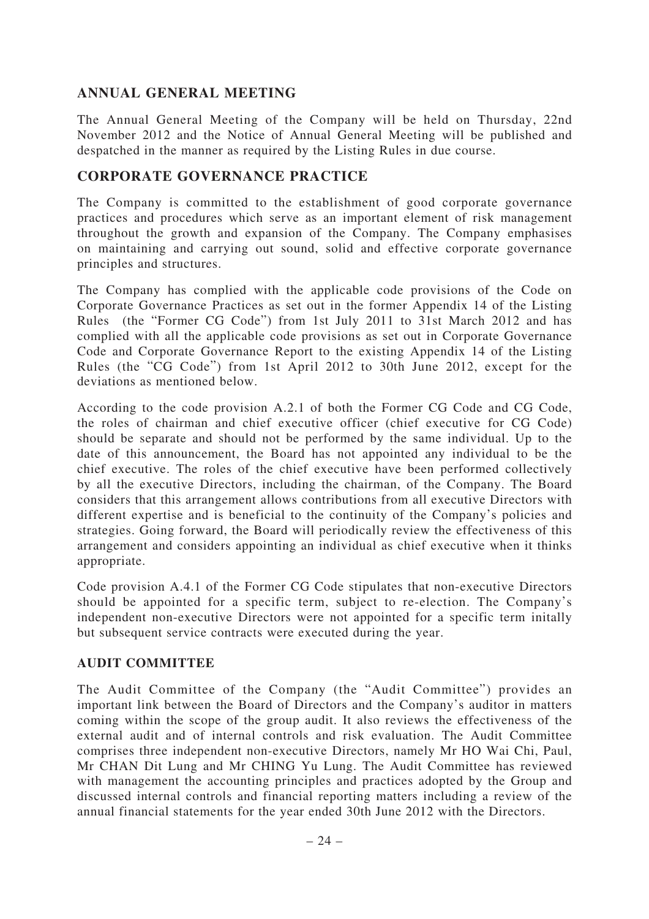## **ANNUAL GENERAL MEETING**

The Annual General Meeting of the Company will be held on Thursday, 22nd November 2012 and the Notice of Annual General Meeting will be published and despatched in the manner as required by the Listing Rules in due course.

## **CORPORATE GOVERNANCE PRACTICE**

The Company is committed to the establishment of good corporate governance practices and procedures which serve as an important element of risk management throughout the growth and expansion of the Company. The Company emphasises on maintaining and carrying out sound, solid and effective corporate governance principles and structures.

The Company has complied with the applicable code provisions of the Code on Corporate Governance Practices as set out in the former Appendix 14 of the Listing Rules (the "Former CG Code") from 1st July 2011 to 31st March 2012 and has complied with all the applicable code provisions as set out in Corporate Governance Code and Corporate Governance Report to the existing Appendix 14 of the Listing Rules (the "CG Code") from 1st April 2012 to 30th June 2012, except for the deviations as mentioned below.

According to the code provision A.2.1 of both the Former CG Code and CG Code, the roles of chairman and chief executive officer (chief executive for CG Code) should be separate and should not be performed by the same individual. Up to the date of this announcement, the Board has not appointed any individual to be the chief executive. The roles of the chief executive have been performed collectively by all the executive Directors, including the chairman, of the Company. The Board considers that this arrangement allows contributions from all executive Directors with different expertise and is beneficial to the continuity of the Company's policies and strategies. Going forward, the Board will periodically review the effectiveness of this arrangement and considers appointing an individual as chief executive when it thinks appropriate.

Code provision A.4.1 of the Former CG Code stipulates that non-executive Directors should be appointed for a specific term, subject to re-election. The Company's independent non-executive Directors were not appointed for a specific term initally but subsequent service contracts were executed during the year.

## **AUDIT COMMITTEE**

The Audit Committee of the Company (the "Audit Committee") provides an important link between the Board of Directors and the Company's auditor in matters coming within the scope of the group audit. It also reviews the effectiveness of the external audit and of internal controls and risk evaluation. The Audit Committee comprises three independent non-executive Directors, namely Mr HO Wai Chi, Paul, Mr CHAN Dit Lung and Mr CHING Yu Lung. The Audit Committee has reviewed with management the accounting principles and practices adopted by the Group and discussed internal controls and financial reporting matters including a review of the annual financial statements for the year ended 30th June 2012 with the Directors.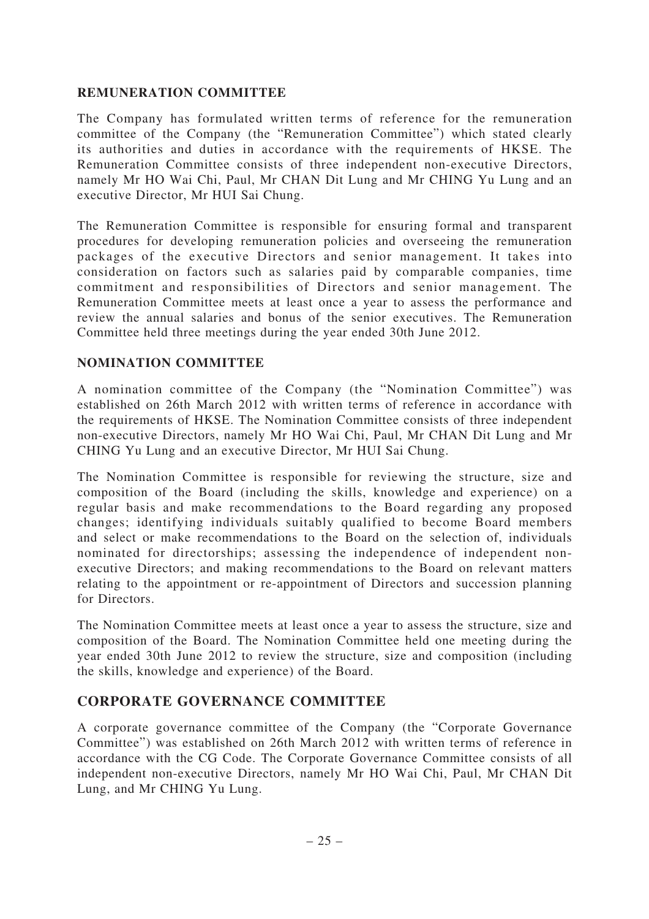## **REMUNERATION COMMITTEE**

The Company has formulated written terms of reference for the remuneration committee of the Company (the "Remuneration Committee") which stated clearly its authorities and duties in accordance with the requirements of HKSE. The Remuneration Committee consists of three independent non-executive Directors, namely Mr HO Wai Chi, Paul, Mr CHAN Dit Lung and Mr CHING Yu Lung and an executive Director, Mr HUI Sai Chung.

The Remuneration Committee is responsible for ensuring formal and transparent procedures for developing remuneration policies and overseeing the remuneration packages of the executive Directors and senior management. It takes into consideration on factors such as salaries paid by comparable companies, time commitment and responsibilities of Directors and senior management. The Remuneration Committee meets at least once a year to assess the performance and review the annual salaries and bonus of the senior executives. The Remuneration Committee held three meetings during the year ended 30th June 2012.

## **NOMINATION COMMITTEE**

A nomination committee of the Company (the "Nomination Committee") was established on 26th March 2012 with written terms of reference in accordance with the requirements of HKSE. The Nomination Committee consists of three independent non-executive Directors, namely Mr HO Wai Chi, Paul, Mr CHAN Dit Lung and Mr CHING Yu Lung and an executive Director, Mr HUI Sai Chung.

The Nomination Committee is responsible for reviewing the structure, size and composition of the Board (including the skills, knowledge and experience) on a regular basis and make recommendations to the Board regarding any proposed changes; identifying individuals suitably qualified to become Board members and select or make recommendations to the Board on the selection of, individuals nominated for directorships; assessing the independence of independent nonexecutive Directors; and making recommendations to the Board on relevant matters relating to the appointment or re-appointment of Directors and succession planning for Directors.

The Nomination Committee meets at least once a year to assess the structure, size and composition of the Board. The Nomination Committee held one meeting during the year ended 30th June 2012 to review the structure, size and composition (including the skills, knowledge and experience) of the Board.

## **CORPORATE GOVERNANCE COMMITTEE**

A corporate governance committee of the Company (the "Corporate Governance Committee") was established on 26th March 2012 with written terms of reference in accordance with the CG Code. The Corporate Governance Committee consists of all independent non-executive Directors, namely Mr HO Wai Chi, Paul, Mr CHAN Dit Lung, and Mr CHING Yu Lung.